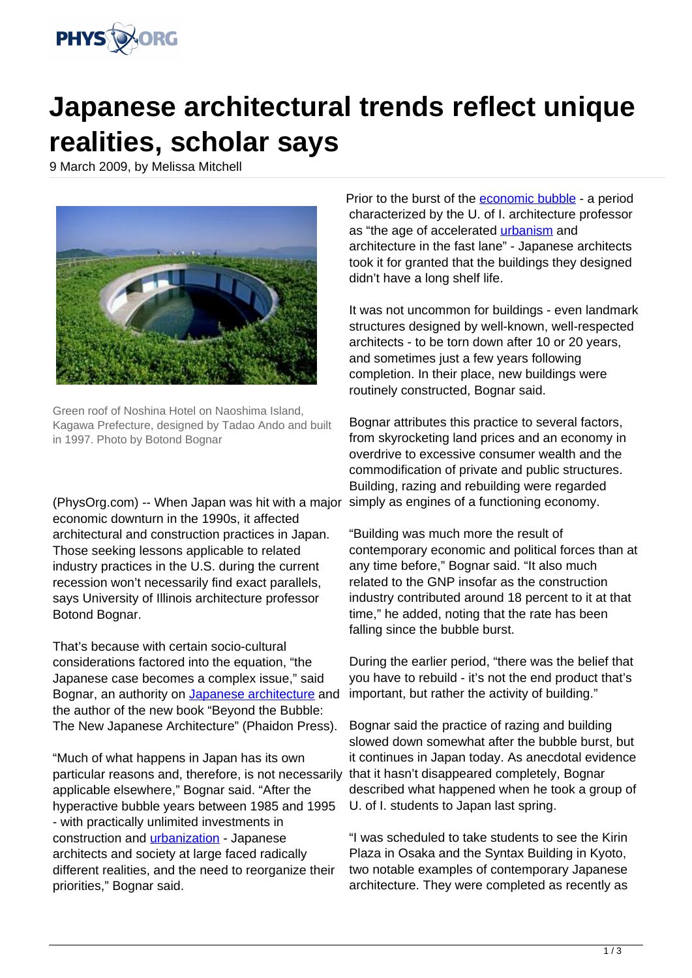

## **Japanese architectural trends reflect unique realities, scholar says**

9 March 2009, by Melissa Mitchell



Green roof of Noshina Hotel on Naoshima Island, Kagawa Prefecture, designed by Tadao Ando and built in 1997. Photo by Botond Bognar

(PhysOrg.com) -- When Japan was hit with a major economic downturn in the 1990s, it affected architectural and construction practices in Japan. Those seeking lessons applicable to related industry practices in the U.S. during the current recession won't necessarily find exact parallels, says University of Illinois architecture professor Botond Bognar.

That's because with certain socio-cultural considerations factored into the equation, "the Japanese case becomes a complex issue," said Bognar, an authority on [Japanese architecture](/tags/japanese+architecture) and the author of the new book "Beyond the Bubble: The New Japanese Architecture" (Phaidon Press).

"Much of what happens in Japan has its own particular reasons and, therefore, is not necessarily applicable elsewhere," Bognar said. "After the hyperactive bubble years between 1985 and 1995 - with practically unlimited investments in construction and [urbanization](/tags/urbanization) - Japanese architects and society at large faced radically different realities, and the need to reorganize their priorities," Bognar said.

Prior to the burst of the [economic bubble](/tags/economic+bubble) - a period characterized by the U. of I. architecture professor as "the age of accelerated [urbanism](/tags/urbanism) and architecture in the fast lane" - Japanese architects took it for granted that the buildings they designed didn't have a long shelf life.

It was not uncommon for buildings - even landmark structures designed by well-known, well-respected architects - to be torn down after 10 or 20 years, and sometimes just a few years following completion. In their place, new buildings were routinely constructed, Bognar said.

Bognar attributes this practice to several factors, from skyrocketing land prices and an economy in overdrive to excessive consumer wealth and the commodification of private and public structures. Building, razing and rebuilding were regarded simply as engines of a functioning economy.

"Building was much more the result of contemporary economic and political forces than at any time before," Bognar said. "It also much related to the GNP insofar as the construction industry contributed around 18 percent to it at that time," he added, noting that the rate has been falling since the bubble burst.

During the earlier period, "there was the belief that you have to rebuild - it's not the end product that's important, but rather the activity of building."

Bognar said the practice of razing and building slowed down somewhat after the bubble burst, but it continues in Japan today. As anecdotal evidence that it hasn't disappeared completely, Bognar described what happened when he took a group of U. of I. students to Japan last spring.

"I was scheduled to take students to see the Kirin Plaza in Osaka and the Syntax Building in Kyoto, two notable examples of contemporary Japanese architecture. They were completed as recently as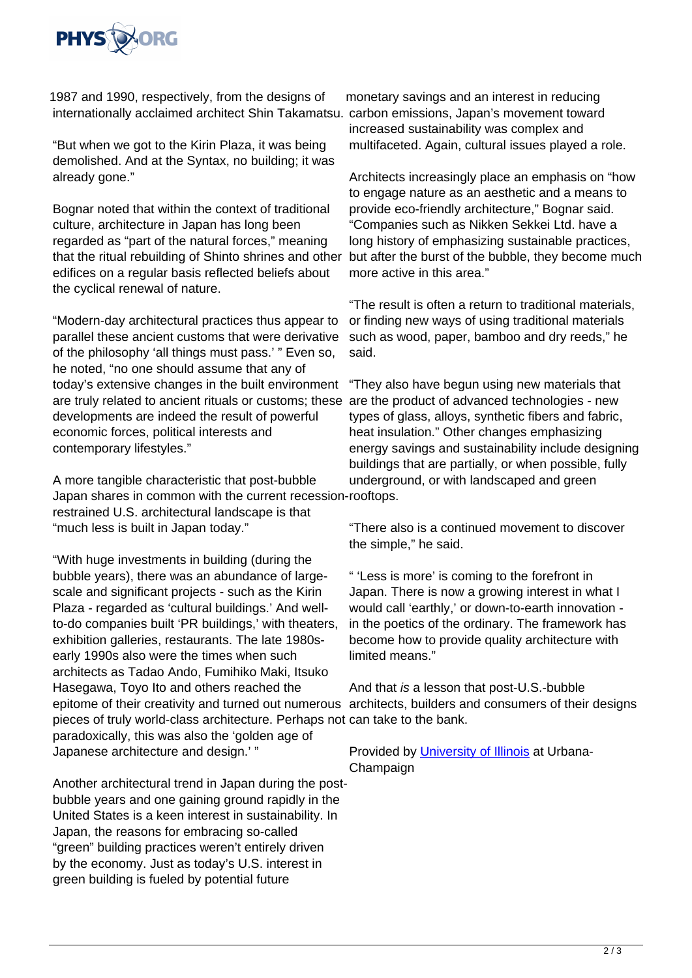

1987 and 1990, respectively, from the designs of internationally acclaimed architect Shin Takamatsu. carbon emissions, Japan's movement toward

"But when we got to the Kirin Plaza, it was being demolished. And at the Syntax, no building; it was already gone."

Bognar noted that within the context of traditional culture, architecture in Japan has long been regarded as "part of the natural forces," meaning that the ritual rebuilding of Shinto shrines and other edifices on a regular basis reflected beliefs about the cyclical renewal of nature.

"Modern-day architectural practices thus appear to parallel these ancient customs that were derivative of the philosophy 'all things must pass.' " Even so, he noted, "no one should assume that any of today's extensive changes in the built environment are truly related to ancient rituals or customs; these are the product of advanced technologies - new developments are indeed the result of powerful economic forces, political interests and contemporary lifestyles."

A more tangible characteristic that post-bubble Japan shares in common with the current recession-rooftops. restrained U.S. architectural landscape is that "much less is built in Japan today."

"With huge investments in building (during the bubble years), there was an abundance of largescale and significant projects - such as the Kirin Plaza - regarded as 'cultural buildings.' And wellto-do companies built 'PR buildings,' with theaters, exhibition galleries, restaurants. The late 1980searly 1990s also were the times when such architects as Tadao Ando, Fumihiko Maki, Itsuko Hasegawa, Toyo Ito and others reached the epitome of their creativity and turned out numerous architects, builders and consumers of their designs pieces of truly world-class architecture. Perhaps not can take to the bank. paradoxically, this was also the 'golden age of Japanese architecture and design.' "

Another architectural trend in Japan during the postbubble years and one gaining ground rapidly in the United States is a keen interest in sustainability. In Japan, the reasons for embracing so-called "green" building practices weren't entirely driven by the economy. Just as today's U.S. interest in green building is fueled by potential future

monetary savings and an interest in reducing increased sustainability was complex and multifaceted. Again, cultural issues played a role.

Architects increasingly place an emphasis on "how to engage nature as an aesthetic and a means to provide eco-friendly architecture," Bognar said. "Companies such as Nikken Sekkei Ltd. have a long history of emphasizing sustainable practices, but after the burst of the bubble, they become much more active in this area."

"The result is often a return to traditional materials, or finding new ways of using traditional materials such as wood, paper, bamboo and dry reeds," he said.

"They also have begun using new materials that types of glass, alloys, synthetic fibers and fabric, heat insulation." Other changes emphasizing energy savings and sustainability include designing buildings that are partially, or when possible, fully underground, or with landscaped and green

"There also is a continued movement to discover the simple," he said.

" 'Less is more' is coming to the forefront in Japan. There is now a growing interest in what I would call 'earthly,' or down-to-earth innovation in the poetics of the ordinary. The framework has become how to provide quality architecture with limited means."

And that is a lesson that post-U.S.-bubble

Provided by [University of Illinois](/tags/university+of+illinois) at Urbana-Champaign